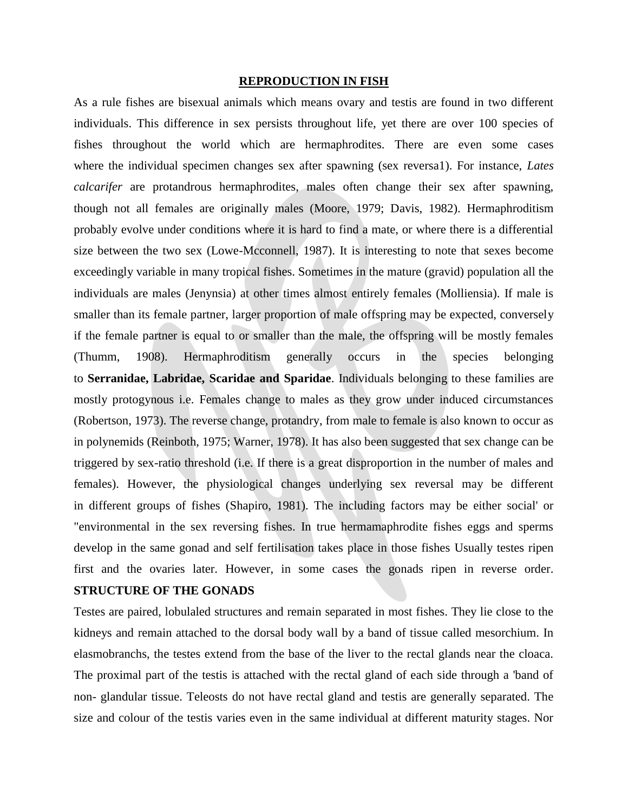#### **REPRODUCTION IN FISH**

As a rule fishes are bisexual animals which means ovary and testis are found in two different individuals. This difference in sex persists throughout life, yet there are over 100 species of fishes throughout the world which are hermaphrodites. There are even some cases where the individual specimen changes sex after spawning (sex reversa1). For instance, *Lates calcarifer* are protandrous hermaphrodites, males often change their sex after spawning, though not all females are originally males (Moore, 1979; Davis, 1982). Hermaphroditism probably evolve under conditions where it is hard to find a mate, or where there is a differential size between the two sex (Lowe-Mcconnell, 1987). It is interesting to note that sexes become exceedingly variable in many tropical fishes. Sometimes in the mature (gravid) population all the individuals are males (Jenynsia) at other times almost entirely females (Molliensia). If male is smaller than its female partner, larger proportion of male offspring may be expected, conversely if the female partner is equal to or smaller than the male, the offspring will be mostly females (Thumm, 1908). Hermaphroditism generally occurs in the species belonging to **Serranidae, Labridae, Scaridae and Sparidae**. Individuals belonging to these families are mostly protogynous i.e. Females change to males as they grow under induced circumstances (Robertson, 1973). The reverse change, protandry, from male to female is also known to occur as in polynemids (Reinboth, 1975; Warner, 1978). It has also been suggested that sex change can be triggered by sex-ratio threshold (i.e. If there is a great disproportion in the number of males and females). However, the physiological changes underlying sex reversal may be different in different groups of fishes (Shapiro, 1981). The including factors may be either social' or "environmental in the sex reversing fishes. In true hermamaphrodite fishes eggs and sperms develop in the same gonad and self fertilisation takes place in those fishes Usually testes ripen first and the ovaries later. However, in some cases the gonads ripen in reverse order.

# **STRUCTURE OF THE GONADS**

Testes are paired, lobulaled structures and remain separated in most fishes. They lie close to the kidneys and remain attached to the dorsal body wall by a band of tissue called mesorchium. In elasmobranchs, the testes extend from the base of the liver to the rectal glands near the cloaca. The proximal part of the testis is attached with the rectal gland of each side through a 'band of non- glandular tissue. Teleosts do not have rectal gland and testis are generally separated. The size and colour of the testis varies even in the same individual at different maturity stages. Nor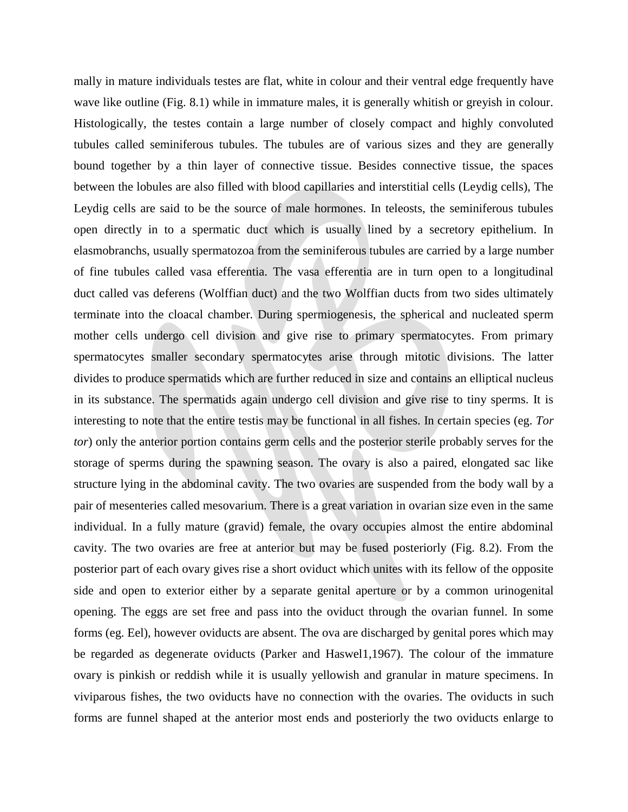mally in mature individuals testes are flat, white in colour and their ventral edge frequently have wave like outline (Fig. 8.1) while in immature males, it is generally whitish or greyish in colour. Histologically, the testes contain a large number of closely compact and highly convoluted tubules called seminiferous tubules. The tubules are of various sizes and they are generally bound together by a thin layer of connective tissue. Besides connective tissue, the spaces between the lobules are also filled with blood capillaries and interstitial cells (Leydig cells), The Leydig cells are said to be the source of male hormones. In teleosts, the seminiferous tubules open directly in to a spermatic duct which is usually lined by a secretory epithelium. In elasmobranchs, usually spermatozoa from the seminiferous tubules are carried by a large number of fine tubules called vasa efferentia. The vasa efferentia are in turn open to a longitudinal duct called vas deferens (Wolffian duct) and the two Wolffian ducts from two sides ultimately terminate into the cloacal chamber. During spermiogenesis, the spherical and nucleated sperm mother cells undergo cell division and give rise to primary spermatocytes. From primary spermatocytes smaller secondary spermatocytes arise through mitotic divisions. The latter divides to produce spermatids which are further reduced in size and contains an elliptical nucleus in its substance. The spermatids again undergo cell division and give rise to tiny sperms. It is interesting to note that the entire testis may be functional in all fishes. In certain species (eg. *Tor tor*) only the anterior portion contains germ cells and the posterior sterile probably serves for the storage of sperms during the spawning season. The ovary is also a paired, elongated sac like structure lying in the abdominal cavity. The two ovaries are suspended from the body wall by a pair of mesenteries called mesovarium. There is a great variation in ovarian size even in the same individual. In a fully mature (gravid) female, the ovary occupies almost the entire abdominal cavity. The two ovaries are free at anterior but may be fused posteriorly (Fig. 8.2). From the posterior part of each ovary gives rise a short oviduct which unites with its fellow of the opposite side and open to exterior either by a separate genital aperture or by a common urinogenital opening. The eggs are set free and pass into the oviduct through the ovarian funnel. In some forms (eg. Eel), however oviducts are absent. The ova are discharged by genital pores which may be regarded as degenerate oviducts (Parker and Haswel1,1967). The colour of the immature ovary is pinkish or reddish while it is usually yellowish and granular in mature specimens. In viviparous fishes, the two oviducts have no connection with the ovaries. The oviducts in such forms are funnel shaped at the anterior most ends and posteriorly the two oviducts enlarge to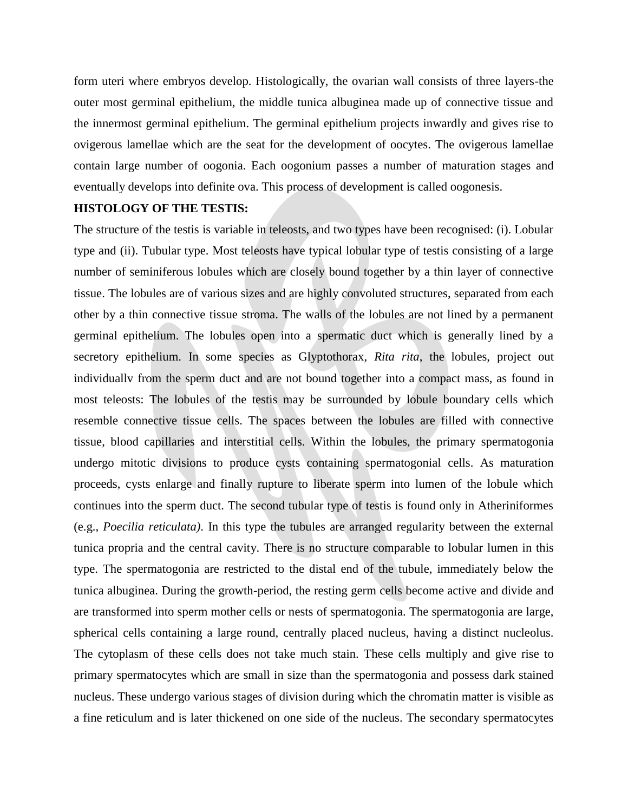form uteri where embryos develop. Histologically, the ovarian wall consists of three layers-the outer most germinal epithelium, the middle tunica albuginea made up of connective tissue and the innermost germinal epithelium. The germinal epithelium projects inwardly and gives rise to ovigerous lamellae which are the seat for the development of oocytes. The ovigerous lamellae contain large number of oogonia. Each oogonium passes a number of maturation stages and eventually develops into definite ova. This process of development is called oogonesis.

# **HISTOLOGY OF THE TESTIS:**

The structure of the testis is variable in teleosts, and two types have been recognised: (i). Lobular type and (ii). Tubular type. Most teleosts have typical lobular type of testis consisting of a large number of seminiferous lobules which are closely bound together by a thin layer of connective tissue. The lobules are of various sizes and are highly convoluted structures, separated from each other by a thin connective tissue stroma. The walls of the lobules are not lined by a permanent germinal epithelium. The lobules open into a spermatic duct which is generally lined by a secretory epithelium. In some species as Glyptothorax, *Rita rita*, the lobules, project out individuallv from the sperm duct and are not bound together into a compact mass, as found in most teleosts: The lobules of the testis may be surrounded by lobule boundary cells which resemble connective tissue cells. The spaces between the lobules are filled with connective tissue, blood capillaries and interstitial cells. Within the lobules, the primary spermatogonia undergo mitotic divisions to produce cysts containing spermatogonial cells. As maturation proceeds, cysts enlarge and finally rupture to liberate sperm into lumen of the lobule which continues into the sperm duct. The second tubular type of testis is found only in Atheriniformes (e.g., *Poecilia reticulata)*. In this type the tubules are arranged regularity between the external tunica propria and the central cavity. There is no structure comparable to lobular lumen in this type. The spermatogonia are restricted to the distal end of the tubule, immediately below the tunica albuginea. During the growth-period, the resting germ cells become active and divide and are transformed into sperm mother cells or nests of spermatogonia. The spermatogonia are large, spherical cells containing a large round, centrally placed nucleus, having a distinct nucleolus. The cytoplasm of these cells does not take much stain. These cells multiply and give rise to primary spermatocytes which are small in size than the spermatogonia and possess dark stained nucleus. These undergo various stages of division during which the chromatin matter is visible as a fine reticulum and is later thickened on one side of the nucleus. The secondary spermatocytes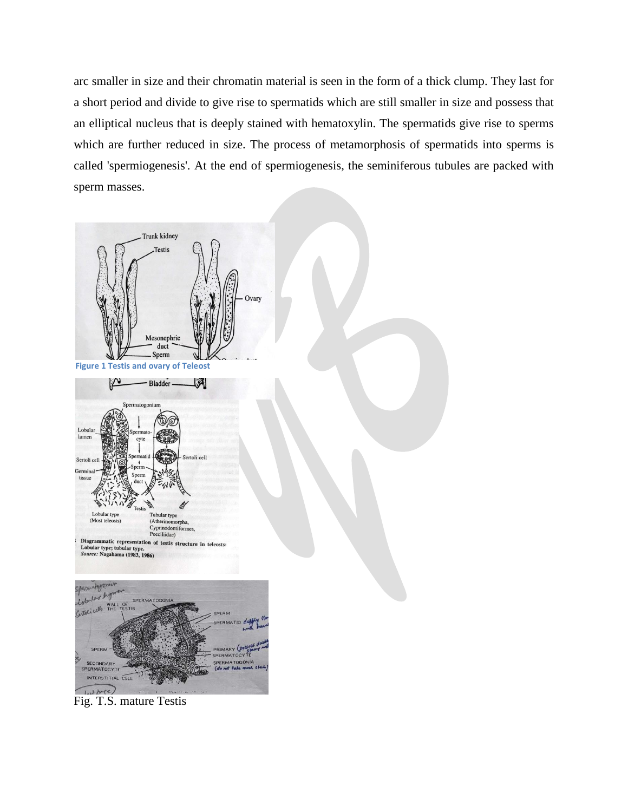arc smaller in size and their chromatin material is seen in the form of a thick clump. They last for a short period and divide to give rise to spermatids which are still smaller in size and possess that an elliptical nucleus that is deeply stained with hematoxylin. The spermatids give rise to sperms which are further reduced in size. The process of metamorphosis of spermatids into sperms is called 'spermiogenesis'. At the end of spermiogenesis, the seminiferous tubules are packed with sperm masses.



Fig. T.S. mature Testis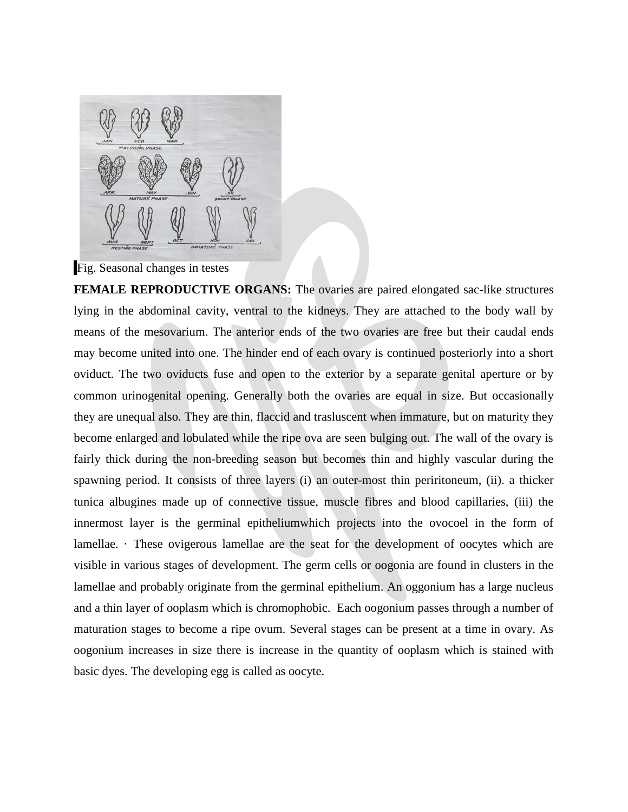

Fig. Seasonal changes in testes

**FEMALE REPRODUCTIVE ORGANS:** The ovaries are paired elongated sac-like structures lying in the abdominal cavity, ventral to the kidneys. They are attached to the body wall by means of the mesovarium. The anterior ends of the two ovaries are free but their caudal ends may become united into one. The hinder end of each ovary is continued posteriorly into a short oviduct. The two oviducts fuse and open to the exterior by a separate genital aperture or by common urinogenital opening. Generally both the ovaries are equal in size. But occasionally they are unequal also. They are thin, flaccid and trasluscent when immature, but on maturity they become enlarged and lobulated while the ripe ova are seen bulging out. The wall of the ovary is fairly thick during the non-breeding season but becomes thin and highly vascular during the spawning period. It consists of three layers (i) an outer-most thin periritoneum, (ii). a thicker tunica albugines made up of connective tissue, muscle fibres and blood capillaries, (iii) the innermost layer is the germinal epitheliumwhich projects into the ovocoel in the form of lamellae. · These ovigerous lamellae are the seat for the development of oocytes which are visible in various stages of development. The germ cells or oogonia are found in clusters in the lamellae and probably originate from the germinal epithelium. An oggonium has a large nucleus and a thin layer of ooplasm which is chromophobic. Each oogonium passes through a number of maturation stages to become a ripe ovum. Several stages can be present at a time in ovary. As oogonium increases in size there is increase in the quantity of ooplasm which is stained with basic dyes. The developing egg is called as oocyte.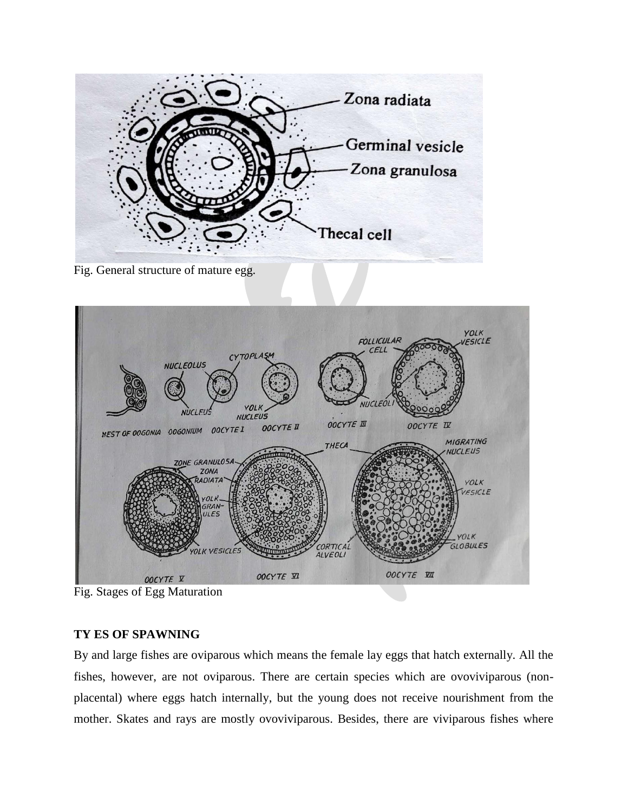

Fig. General structure of mature egg.



Fig. Stages of Egg Maturation

# **TY ES OF SPAWNING**

By and large fishes are oviparous which means the female lay eggs that hatch externally. All the fishes, however, are not oviparous. There are certain species which are ovoviviparous (nonplacental) where eggs hatch internally, but the young does not receive nourishment from the mother. Skates and rays are mostly ovoviviparous. Besides, there are viviparous fishes where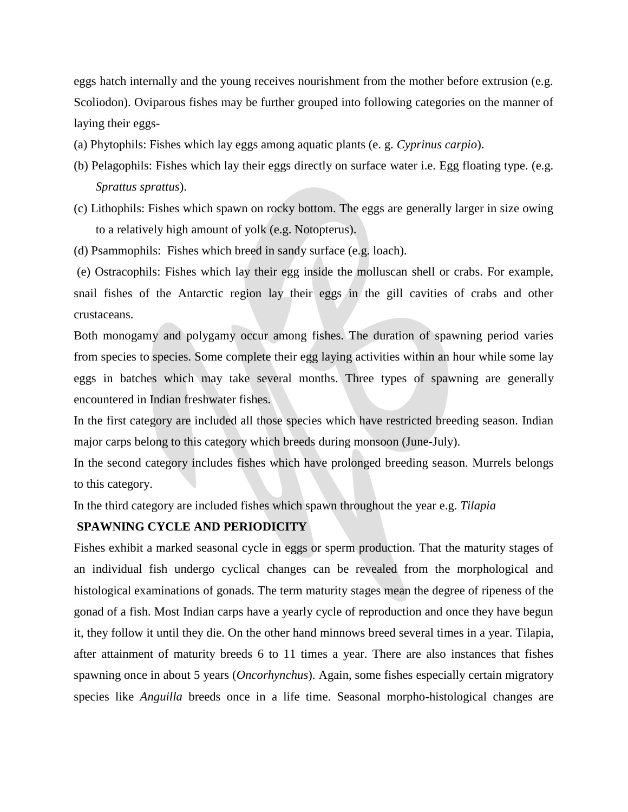eggs hatch internally and the young receives nourishment from the mother before extrusion (e.g. Scoliodon). Oviparous fishes may be further grouped into following categories on the manner of laying their eggs-

- (a) Phytophils: Fishes which lay eggs among aquatic plants (e. g. *Cyprinus carpio*).
- (b) Pelagophils: Fishes which lay their eggs directly on surface water i.e. Egg floating type. (e.g. *Sprattus sprattus*).
- (c) Lithophils: Fishes which spawn on rocky bottom. The eggs are generally larger in size owing to a relatively high amount of yolk (e.g. Notopterus).
- (d) Psammophils: Fishes which breed in sandy surface (e.g. loach).

(e) Ostracophils: Fishes which lay their egg inside the molluscan shell or crabs. For example, snail fishes of the Antarctic region lay their eggs in the gill cavities of crabs and other crustaceans.

Both monogamy and polygamy occur among fishes. The duration of spawning period varies from species to species. Some complete their egg laying activities within an hour while some lay eggs in batches which may take several months. Three types of spawning are generally encountered in Indian freshwater fishes.

In the first category are included all those species which have restricted breeding season. Indian major carps belong to this category which breeds during monsoon (June-July).

In the second category includes fishes which have prolonged breeding season. Murrels belongs to this category.

In the third category are included fishes which spawn throughout the year e.g. *Tilapia*

### **SPAWNING CYCLE AND PERIODICITY**

Fishes exhibit a marked seasonal cycle in eggs or sperm production. That the maturity stages of an individual fish undergo cyclical changes can be revealed from the morphological and histological examinations of gonads. The term maturity stages mean the degree of ripeness of the gonad of a fish. Most Indian carps have a yearly cycle of reproduction and once they have begun it, they follow it until they die. On the other hand minnows breed several times in a year. Tilapia, after attainment of maturity breeds 6 to 11 times a year. There are also instances that fishes spawning once in about 5 years (*Oncorhynchus*). Again, some fishes especially certain migratory species like *Anguilla* breeds once in a life time. Seasonal morpho-histological changes are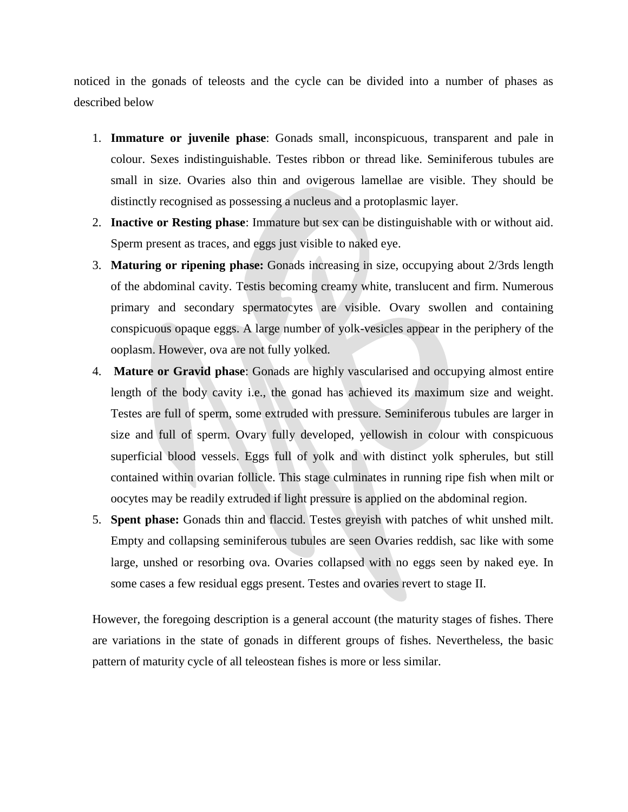noticed in the gonads of teleosts and the cycle can be divided into a number of phases as described below

- 1. **Immature or juvenile phase**: Gonads small, inconspicuous, transparent and pale in colour. Sexes indistinguishable. Testes ribbon or thread like. Seminiferous tubules are small in size. Ovaries also thin and ovigerous lamellae are visible. They should be distinctly recognised as possessing a nucleus and a protoplasmic layer.
- 2. **Inactive or Resting phase**: Immature but sex can be distinguishable with or without aid. Sperm present as traces, and eggs just visible to naked eye.
- 3. **Maturing or ripening phase:** Gonads increasing in size, occupying about 2/3rds length of the abdominal cavity. Testis becoming creamy white, translucent and firm. Numerous primary and secondary spermatocytes are visible. Ovary swollen and containing conspicuous opaque eggs. A large number of yolk-vesicles appear in the periphery of the ooplasm. However, ova are not fully yolked.
- 4. **Mature or Gravid phase**: Gonads are highly vascularised and occupying almost entire length of the body cavity i.e., the gonad has achieved its maximum size and weight. Testes are full of sperm, some extruded with pressure. Seminiferous tubules are larger in size and full of sperm. Ovary fully developed, yellowish in colour with conspicuous superficial blood vessels. Eggs full of yolk and with distinct yolk spherules, but still contained within ovarian follicle. This stage culminates in running ripe fish when milt or oocytes may be readily extruded if light pressure is applied on the abdominal region.
- 5. **Spent phase:** Gonads thin and flaccid. Testes greyish with patches of whit unshed milt. Empty and collapsing seminiferous tubules are seen Ovaries reddish, sac like with some large, unshed or resorbing ova. Ovaries collapsed with no eggs seen by naked eye. In some cases a few residual eggs present. Testes and ovaries revert to stage II.

However, the foregoing description is a general account (the maturity stages of fishes. There are variations in the state of gonads in different groups of fishes. Nevertheless, the basic pattern of maturity cycle of all teleostean fishes is more or less similar.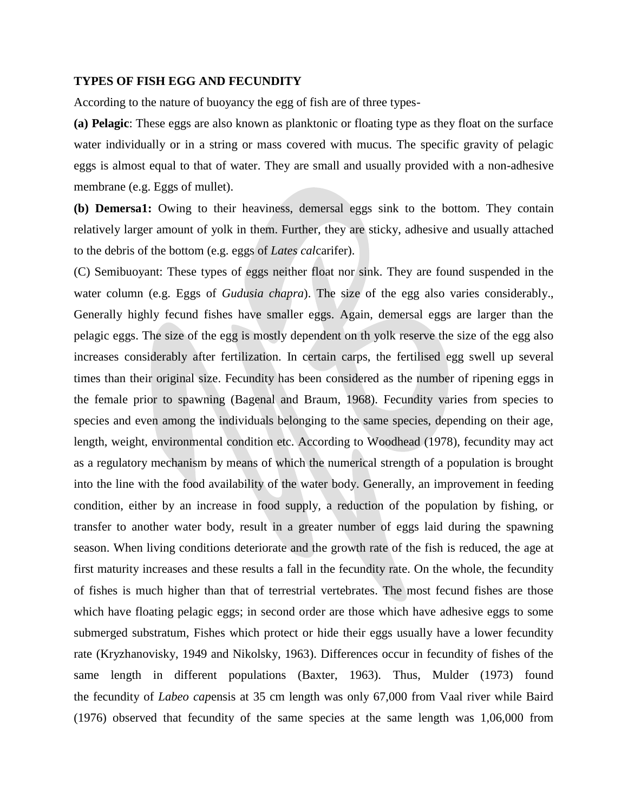### **TYPES OF FISH EGG AND FECUNDITY**

According to the nature of buoyancy the egg of fish are of three types-

**(a) Pelagic**: These eggs are also known as planktonic or floating type as they float on the surface water individually or in a string or mass covered with mucus. The specific gravity of pelagic eggs is almost equal to that of water. They are small and usually provided with a non-adhesive membrane (e.g. Eggs of mullet).

**(b) Demersa1:** Owing to their heaviness, demersal eggs sink to the bottom. They contain relatively larger amount of yolk in them. Further, they are sticky, adhesive and usually attached to the debris of the bottom (e.g. eggs of *Lates cal*carifer).

(C) Semibuoyant: These types of eggs neither float nor sink. They are found suspended in the water column (e.g. Eggs of *Gudusia chapra*). The size of the egg also varies considerably., Generally highly fecund fishes have smaller eggs. Again, demersal eggs are larger than the pelagic eggs. The size of the egg is mostly dependent on th yolk reserve the size of the egg also increases considerably after fertilization. In certain carps, the fertilised egg swell up several times than their original size. Fecundity has been considered as the number of ripening eggs in the female prior to spawning (Bagenal and Braum, 1968). Fecundity varies from species to species and even among the individuals belonging to the same species, depending on their age, length, weight, environmental condition etc. According to Woodhead (1978), fecundity may act as a regulatory mechanism by means of which the numerical strength of a population is brought into the line with the food availability of the water body. Generally, an improvement in feeding condition, either by an increase in food supply, a reduction of the population by fishing, or transfer to another water body, result in a greater number of eggs laid during the spawning season. When living conditions deteriorate and the growth rate of the fish is reduced, the age at first maturity increases and these results a fall in the fecundity rate. On the whole, the fecundity of fishes is much higher than that of terrestrial vertebrates. The most fecund fishes are those which have floating pelagic eggs; in second order are those which have adhesive eggs to some submerged substratum, Fishes which protect or hide their eggs usually have a lower fecundity rate (Kryzhanovisky, 1949 and Nikolsky, 1963). Differences occur in fecundity of fishes of the same length in different populations (Baxter, 1963). Thus, Mulder (1973) found the fecundity of *Labeo cap*ensis at 35 cm length was only 67,000 from Vaal river while Baird (1976) observed that fecundity of the same species at the same length was 1,06,000 from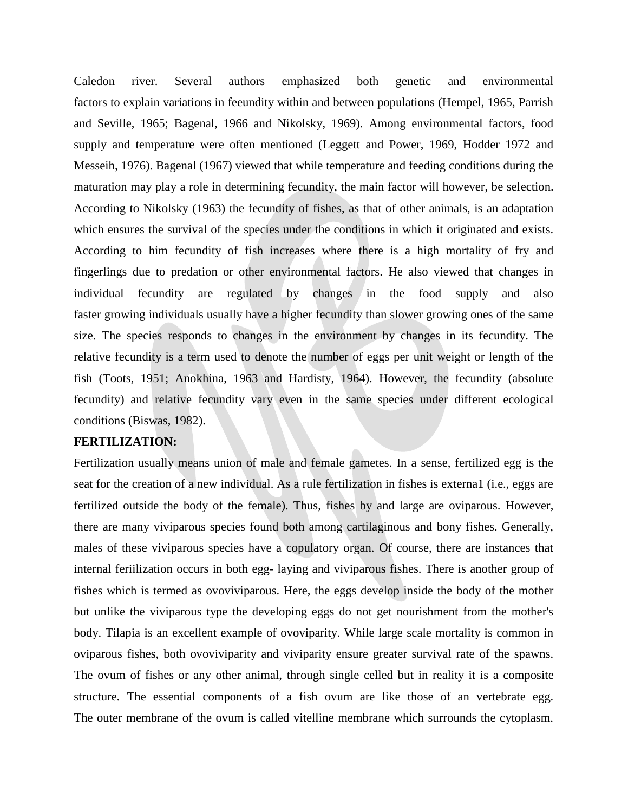Caledon river. Several authors emphasized both genetic and environmental factors to explain variations in feeundity within and between populations (Hempel, 1965, Parrish and Seville, 1965; Bagenal, 1966 and Nikolsky, 1969). Among environmental factors, food supply and temperature were often mentioned (Leggett and Power, 1969, Hodder 1972 and Messeih, 1976). Bagenal (1967) viewed that while temperature and feeding conditions during the maturation may play a role in determining fecundity, the main factor will however, be selection. According to Nikolsky (1963) the fecundity of fishes, as that of other animals, is an adaptation which ensures the survival of the species under the conditions in which it originated and exists. According to him fecundity of fish increases where there is a high mortality of fry and fingerlings due to predation or other environmental factors. He also viewed that changes in individual fecundity are regulated by changes in the food supply and also faster growing individuals usually have a higher fecundity than slower growing ones of the same size. The species responds to changes in the environment by changes in its fecundity. The relative fecundity is a term used to denote the number of eggs per unit weight or length of the fish (Toots, 1951; Anokhina, 1963 and Hardisty, 1964). However, the fecundity (absolute fecundity) and relative fecundity vary even in the same species under different ecological conditions (Biswas, 1982).

### **FERTILIZATION:**

Fertilization usually means union of male and female gametes. In a sense, fertilized egg is the seat for the creation of a new individual. As a rule fertilization in fishes is externa1 (i.e., eggs are fertilized outside the body of the female). Thus, fishes by and large are oviparous. However, there are many viviparous species found both among cartilaginous and bony fishes. Generally, males of these viviparous species have a copulatory organ. Of course, there are instances that internal feriilization occurs in both egg- laying and viviparous fishes. There is another group of fishes which is termed as ovoviviparous. Here, the eggs develop inside the body of the mother but unlike the viviparous type the developing eggs do not get nourishment from the mother's body. Tilapia is an excellent example of ovoviparity. While large scale mortality is common in oviparous fishes, both ovoviviparity and viviparity ensure greater survival rate of the spawns. The ovum of fishes or any other animal, through single celled but in reality it is a composite structure. The essential components of a fish ovum are like those of an vertebrate egg. The outer membrane of the ovum is called vitelline membrane which surrounds the cytoplasm.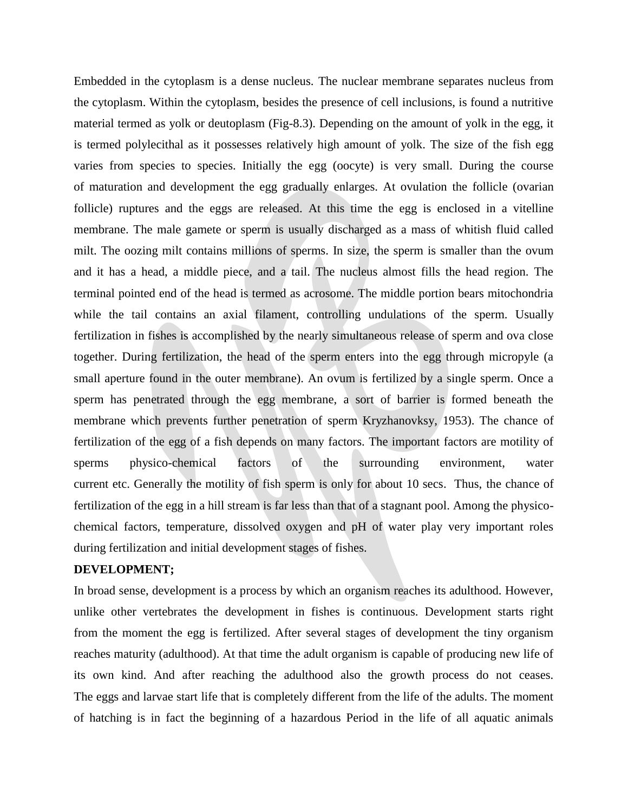Embedded in the cytoplasm is a dense nucleus. The nuclear membrane separates nucleus from the cytoplasm. Within the cytoplasm, besides the presence of cell inclusions, is found a nutritive material termed as yolk or deutoplasm (Fig-8.3). Depending on the amount of yolk in the egg, it is termed polylecithal as it possesses relatively high amount of yolk. The size of the fish egg varies from species to species. Initially the egg (oocyte) is very small. During the course of maturation and development the egg gradually enlarges. At ovulation the follicle (ovarian follicle) ruptures and the eggs are released. At this time the egg is enclosed in a vitelline membrane. The male gamete or sperm is usually discharged as a mass of whitish fluid called milt. The oozing milt contains millions of sperms. In size, the sperm is smaller than the ovum and it has a head, a middle piece, and a tail. The nucleus almost fills the head region. The terminal pointed end of the head is termed as acrosome. The middle portion bears mitochondria while the tail contains an axial filament, controlling undulations of the sperm. Usually fertilization in fishes is accomplished by the nearly simultaneous release of sperm and ova close together. During fertilization, the head of the sperm enters into the egg through micropyle (a small aperture found in the outer membrane). An ovum is fertilized by a single sperm. Once a sperm has penetrated through the egg membrane, a sort of barrier is formed beneath the membrane which prevents further penetration of sperm Kryzhanovksy, 1953). The chance of fertilization of the egg of a fish depends on many factors. The important factors are motility of sperms physico-chemical factors of the surrounding environment, water current etc. Generally the motility of fish sperm is only for about 10 secs. Thus, the chance of fertilization of the egg in a hill stream is far less than that of a stagnant pool. Among the physicochemical factors, temperature, dissolved oxygen and pH of water play very important roles during fertilization and initial development stages of fishes.

# **DEVELOPMENT;**

In broad sense, development is a process by which an organism reaches its adulthood. However, unlike other vertebrates the development in fishes is continuous. Development starts right from the moment the egg is fertilized. After several stages of development the tiny organism reaches maturity (adulthood). At that time the adult organism is capable of producing new life of its own kind. And after reaching the adulthood also the growth process do not ceases. The eggs and larvae start life that is completely different from the life of the adults. The moment of hatching is in fact the beginning of a hazardous Period in the life of all aquatic animals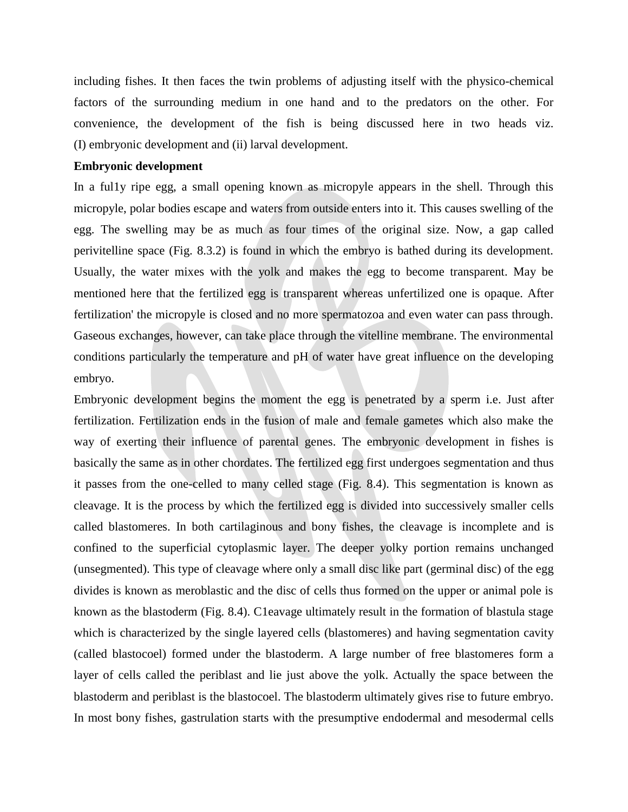including fishes. It then faces the twin problems of adjusting itself with the physico-chemical factors of the surrounding medium in one hand and to the predators on the other. For convenience, the development of the fish is being discussed here in two heads viz. (I) embryonic development and (ii) larval development.

### **Embryonic development**

In a ful1y ripe egg, a small opening known as micropyle appears in the shell. Through this micropyle, polar bodies escape and waters from outside enters into it. This causes swelling of the egg. The swelling may be as much as four times of the original size. Now, a gap called perivitelline space (Fig. 8.3.2) is found in which the embryo is bathed during its development. Usually, the water mixes with the yolk and makes the egg to become transparent. May be mentioned here that the fertilized egg is transparent whereas unfertilized one is opaque. After fertilization' the micropyle is closed and no more spermatozoa and even water can pass through. Gaseous exchanges, however, can take place through the vitelline membrane. The environmental conditions particularly the temperature and pH of water have great influence on the developing embryo.

Embryonic development begins the moment the egg is penetrated by a sperm i.e. Just after fertilization. Fertilization ends in the fusion of male and female gametes which also make the way of exerting their influence of parental genes. The embryonic development in fishes is basically the same as in other chordates. The fertilized egg first undergoes segmentation and thus it passes from the one-celled to many celled stage (Fig. 8.4). This segmentation is known as cleavage. It is the process by which the fertilized egg is divided into successively smaller cells called blastomeres. In both cartilaginous and bony fishes, the cleavage is incomplete and is confined to the superficial cytoplasmic layer. The deeper yolky portion remains unchanged (unsegmented). This type of cleavage where only a small disc like part (germinal disc) of the egg divides is known as meroblastic and the disc of cells thus formed on the upper or animal pole is known as the blastoderm (Fig. 8.4). C1eavage ultimately result in the formation of blastula stage which is characterized by the single layered cells (blastomeres) and having segmentation cavity (called blastocoel) formed under the blastoderm. A large number of free blastomeres form a layer of cells called the periblast and lie just above the yolk. Actually the space between the blastoderm and periblast is the blastocoel. The blastoderm ultimately gives rise to future embryo. In most bony fishes, gastrulation starts with the presumptive endodermal and mesodermal cells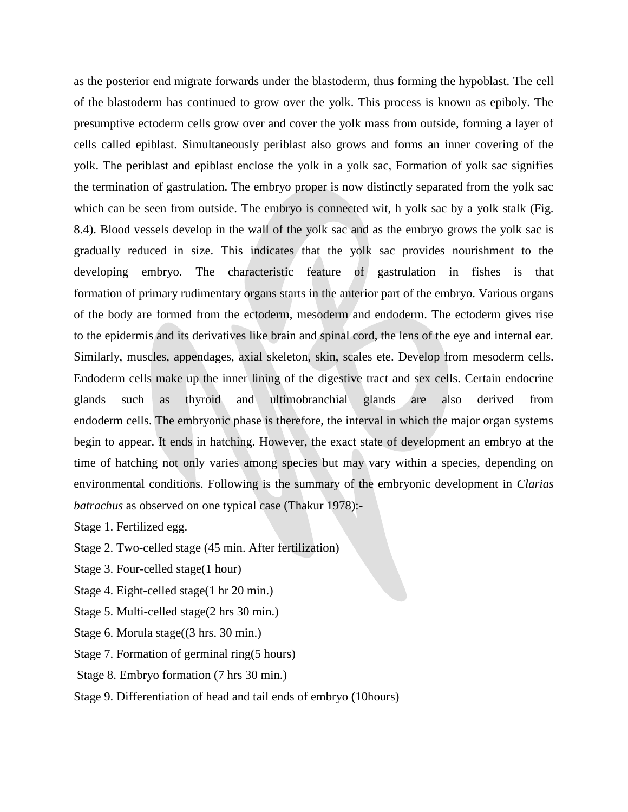as the posterior end migrate forwards under the blastoderm, thus forming the hypoblast. The cell of the blastoderm has continued to grow over the yolk. This process is known as epiboly. The presumptive ectoderm cells grow over and cover the yolk mass from outside, forming a layer of cells called epiblast. Simultaneously periblast also grows and forms an inner covering of the yolk. The periblast and epiblast enclose the yolk in a yolk sac, Formation of yolk sac signifies the termination of gastrulation. The embryo proper is now distinctly separated from the yolk sac which can be seen from outside. The embryo is connected wit, h yolk sac by a yolk stalk (Fig. 8.4). Blood vessels develop in the wall of the yolk sac and as the embryo grows the yolk sac is gradually reduced in size. This indicates that the yolk sac provides nourishment to the developing embryo. The characteristic feature of gastrulation in fishes is that formation of primary rudimentary organs starts in the anterior part of the embryo. Various organs of the body are formed from the ectoderm, mesoderm and endoderm. The ectoderm gives rise to the epidermis and its derivatives like brain and spinal cord, the lens of the eye and internal ear. Similarly, muscles, appendages, axial skeleton, skin, scales ete. Develop from mesoderm cells. Endoderm cells make up the inner lining of the digestive tract and sex cells. Certain endocrine glands such as thyroid and ultimobranchial glands are also derived from endoderm cells. The embryonic phase is therefore, the interval in which the major organ systems begin to appear. It ends in hatching. However, the exact state of development an embryo at the time of hatching not only varies among species but may vary within a species, depending on environmental conditions. Following is the summary of the embryonic development in *Clarias batrachus* as observed on one typical case (Thakur 1978):-

Stage 1. Fertilized egg.

Stage 2. Two-celled stage (45 min. After fertilization)

Stage 3. Four-celled stage(1 hour)

Stage 4. Eight-celled stage(1 hr 20 min.)

Stage 5. Multi-celled stage(2 hrs 30 min.)

Stage 6. Morula stage((3 hrs. 30 min.)

Stage 7. Formation of germinal ring(5 hours)

Stage 8. Embryo formation (7 hrs 30 min.)

Stage 9. Differentiation of head and tail ends of embryo (10hours)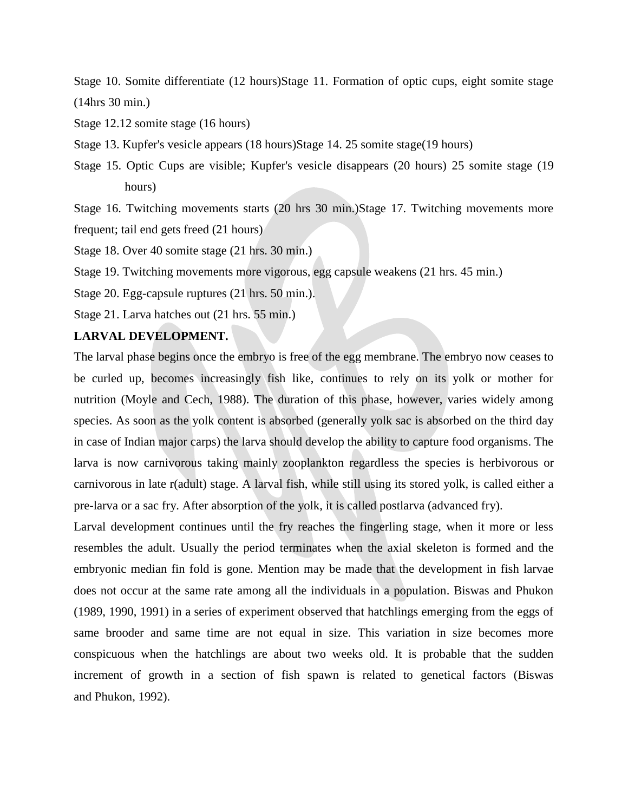Stage 10. Somite differentiate (12 hours)Stage 11. Formation of optic cups, eight somite stage (14hrs 30 min.)

Stage 12.12 somite stage (16 hours)

Stage 13. Kupfer's vesicle appears (18 hours)Stage 14. 25 somite stage(19 hours)

Stage 15. Optic Cups are visible; Kupfer's vesicle disappears (20 hours) 25 somite stage (19 hours)

Stage 16. Twitching movements starts (20 hrs 30 min.)Stage 17. Twitching movements more frequent; tail end gets freed (21 hours)

Stage 18. Over 40 somite stage (21 hrs. 30 min.)

Stage 19. Twitching movements more vigorous, egg capsule weakens (21 hrs. 45 min.)

Stage 20. Egg-capsule ruptures (21 hrs. 50 min.).

Stage 21. Larva hatches out (21 hrs. 55 min.)

# **LARVAL DEVELOPMENT.**

The larval phase begins once the embryo is free of the egg membrane. The embryo now ceases to be curled up, becomes increasingly fish like, continues to rely on its yolk or mother for nutrition (Moyle and Cech, 1988). The duration of this phase, however, varies widely among species. As soon as the yolk content is absorbed (generally yolk sac is absorbed on the third day in case of Indian major carps) the larva should develop the ability to capture food organisms. The larva is now carnivorous taking mainly zooplankton regardless the species is herbivorous or carnivorous in late r(adult) stage. A larval fish, while still using its stored yolk, is called either a pre-larva or a sac fry. After absorption of the yolk, it is called postlarva (advanced fry).

Larval development continues until the fry reaches the fingerling stage, when it more or less resembles the adult. Usually the period terminates when the axial skeleton is formed and the embryonic median fin fold is gone. Mention may be made that the development in fish larvae does not occur at the same rate among all the individuals in a population. Biswas and Phukon (1989, 1990, 1991) in a series of experiment observed that hatchlings emerging from the eggs of same brooder and same time are not equal in size. This variation in size becomes more conspicuous when the hatchlings are about two weeks old. It is probable that the sudden increment of growth in a section of fish spawn is related to genetical factors (Biswas and Phukon, 1992).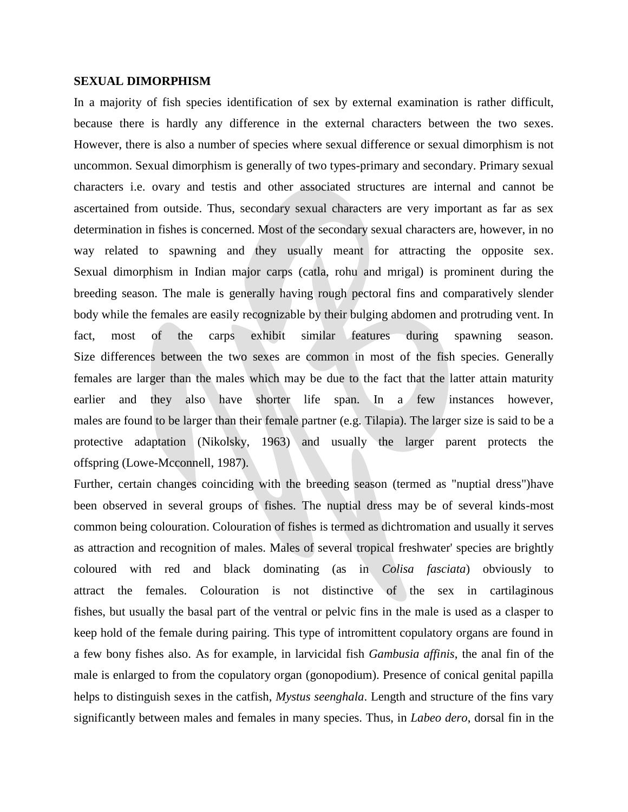### **SEXUAL DIMORPHISM**

In a majority of fish species identification of sex by external examination is rather difficult, because there is hardly any difference in the external characters between the two sexes. However, there is also a number of species where sexual difference or sexual dimorphism is not uncommon. Sexual dimorphism is generally of two types-primary and secondary. Primary sexual characters i.e. ovary and testis and other associated structures are internal and cannot be ascertained from outside. Thus, secondary sexual characters are very important as far as sex determination in fishes is concerned. Most of the secondary sexual characters are, however, in no way related to spawning and they usually meant for attracting the opposite sex. Sexual dimorphism in Indian major carps (catla, rohu and mrigal) is prominent during the breeding season. The male is generally having rough pectoral fins and comparatively slender body while the females are easily recognizable by their bulging abdomen and protruding vent. In fact, most of the carps exhibit similar features during spawning season. Size differences between the two sexes are common in most of the fish species. Generally females are larger than the males which may be due to the fact that the latter attain maturity earlier and they also have shorter life span. In a few instances however, males are found to be larger than their female partner (e.g. Tilapia). The larger size is said to be a protective adaptation (Nikolsky, 1963) and usually the larger parent protects the offspring (Lowe-Mcconnell, 1987).

Further, certain changes coinciding with the breeding season (termed as "nuptial dress")have been observed in several groups of fishes. The nuptial dress may be of several kinds-most common being colouration. Colouration of fishes is termed as dichtromation and usually it serves as attraction and recognition of males. Males of several tropical freshwater' species are brightly coloured with red and black dominating (as in *Colisa fasciata*) obviously to attract the females. Colouration is not distinctive of the sex in cartilaginous fishes, but usually the basal part of the ventral or pelvic fins in the male is used as a clasper to keep hold of the female during pairing. This type of intromittent copulatory organs are found in a few bony fishes also. As for example, in larvicidal fish *Gambusia affinis*, the anal fin of the male is enlarged to from the copulatory organ (gonopodium). Presence of conical genital papilla helps to distinguish sexes in the catfish, *Mystus seenghala*. Length and structure of the fins vary significantly between males and females in many species. Thus, in *Labeo dero*, dorsal fin in the